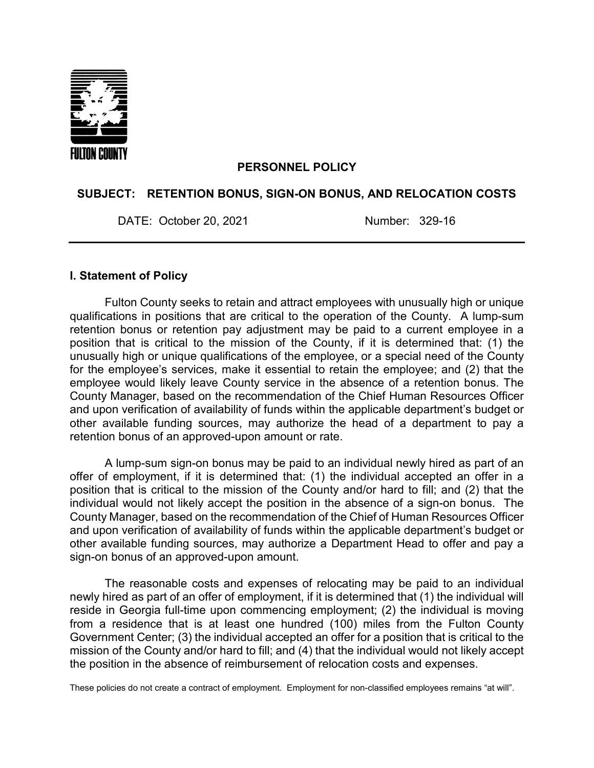

#### **PERSONNEL POLICY**

#### **SUBJECT: RETENTION BONUS, SIGN-ON BONUS, AND RELOCATION COSTS**

DATE: October 20, 2021 Number: 329-16

#### **I. Statement of Policy**

Fulton County seeks to retain and attract employees with unusually high or unique qualifications in positions that are critical to the operation of the County. A lump-sum retention bonus or retention pay adjustment may be paid to a current employee in a position that is critical to the mission of the County, if it is determined that: (1) the unusually high or unique qualifications of the employee, or a special need of the County for the employee's services, make it essential to retain the employee; and (2) that the employee would likely leave County service in the absence of a retention bonus. The County Manager, based on the recommendation of the Chief Human Resources Officer and upon verification of availability of funds within the applicable department's budget or other available funding sources, may authorize the head of a department to pay a retention bonus of an approved-upon amount or rate.

A lump-sum sign-on bonus may be paid to an individual newly hired as part of an offer of employment, if it is determined that: (1) the individual accepted an offer in a position that is critical to the mission of the County and/or hard to fill; and (2) that the individual would not likely accept the position in the absence of a sign-on bonus. The County Manager, based on the recommendation of the Chief of Human Resources Officer and upon verification of availability of funds within the applicable department's budget or other available funding sources, may authorize a Department Head to offer and pay a sign-on bonus of an approved-upon amount.

The reasonable costs and expenses of relocating may be paid to an individual newly hired as part of an offer of employment, if it is determined that (1) the individual will reside in Georgia full-time upon commencing employment; (2) the individual is moving from a residence that is at least one hundred (100) miles from the Fulton County Government Center; (3) the individual accepted an offer for a position that is critical to the mission of the County and/or hard to fill; and (4) that the individual would not likely accept the position in the absence of reimbursement of relocation costs and expenses.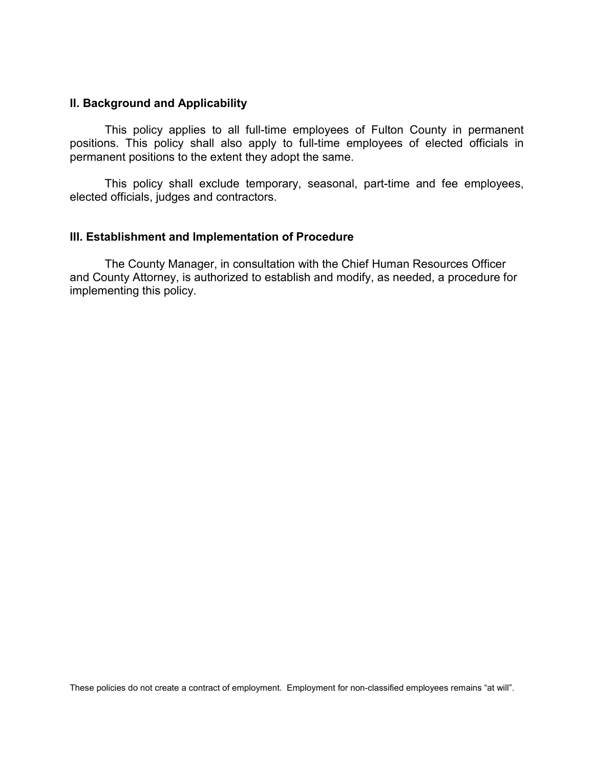#### **II. Background and Applicability**

This policy applies to all full-time employees of Fulton County in permanent positions. This policy shall also apply to full-time employees of elected officials in permanent positions to the extent they adopt the same.

This policy shall exclude temporary, seasonal, part-time and fee employees, elected officials, judges and contractors.

#### **III. Establishment and Implementation of Procedure**

The County Manager, in consultation with the Chief Human Resources Officer and County Attorney, is authorized to establish and modify, as needed, a procedure for implementing this policy.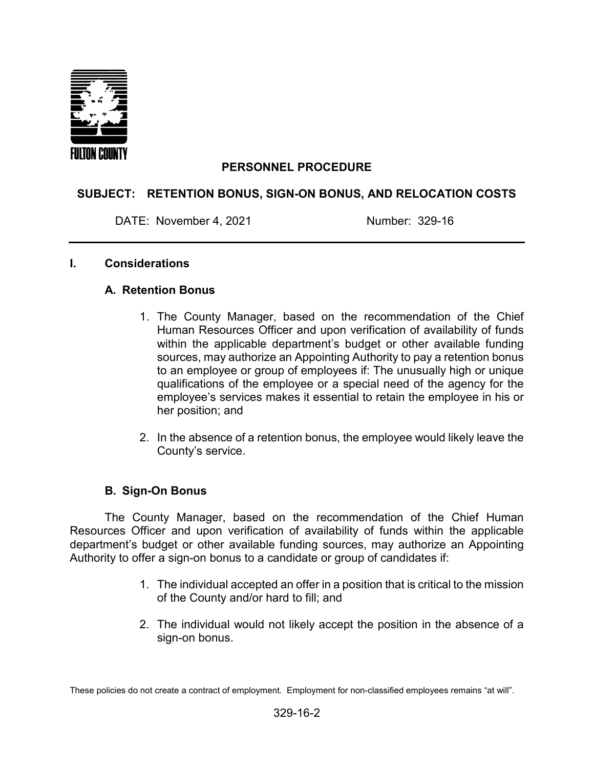

## **PERSONNEL PROCEDURE**

### **SUBJECT: RETENTION BONUS, SIGN-ON BONUS, AND RELOCATION COSTS**

DATE: November 4, 2021 Number: 329-16

#### **I. Considerations**

### **A. Retention Bonus**

- 1. The County Manager, based on the recommendation of the Chief Human Resources Officer and upon verification of availability of funds within the applicable department's budget or other available funding sources, may authorize an Appointing Authority to pay a retention bonus to an employee or group of employees if: The unusually high or unique qualifications of the employee or a special need of the agency for the employee's services makes it essential to retain the employee in his or her position; and
- 2. In the absence of a retention bonus, the employee would likely leave the County's service.

### **B. Sign-On Bonus**

The County Manager, based on the recommendation of the Chief Human Resources Officer and upon verification of availability of funds within the applicable department's budget or other available funding sources, may authorize an Appointing Authority to offer a sign-on bonus to a candidate or group of candidates if:

- 1. The individual accepted an offer in a position that is critical to the mission of the County and/or hard to fill; and
- 2. The individual would not likely accept the position in the absence of a sign-on bonus.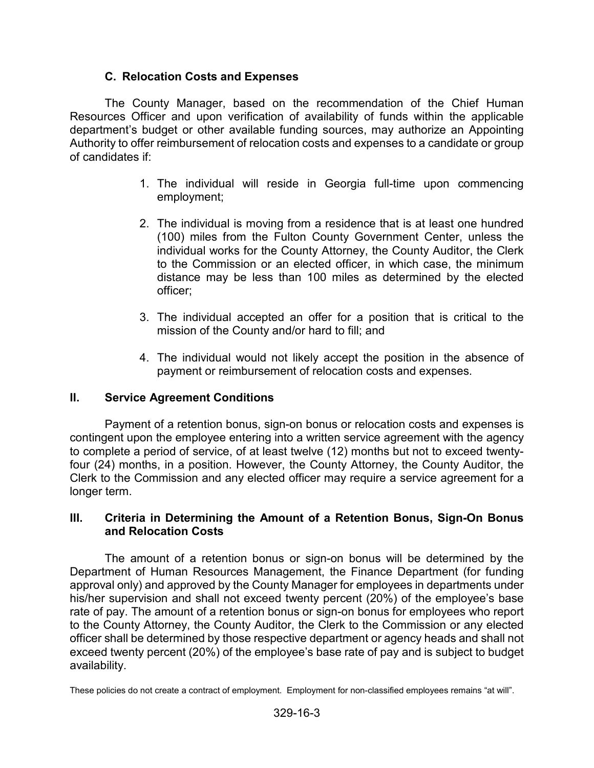## **C. Relocation Costs and Expenses**

The County Manager, based on the recommendation of the Chief Human Resources Officer and upon verification of availability of funds within the applicable department's budget or other available funding sources, may authorize an Appointing Authority to offer reimbursement of relocation costs and expenses to a candidate or group of candidates if:

- 1. The individual will reside in Georgia full-time upon commencing employment;
- 2. The individual is moving from a residence that is at least one hundred (100) miles from the Fulton County Government Center, unless the individual works for the County Attorney, the County Auditor, the Clerk to the Commission or an elected officer, in which case, the minimum distance may be less than 100 miles as determined by the elected officer;
- 3. The individual accepted an offer for a position that is critical to the mission of the County and/or hard to fill; and
- 4. The individual would not likely accept the position in the absence of payment or reimbursement of relocation costs and expenses.

## **II. Service Agreement Conditions**

Payment of a retention bonus, sign-on bonus or relocation costs and expenses is contingent upon the employee entering into a written service agreement with the agency to complete a period of service, of at least twelve (12) months but not to exceed twentyfour (24) months, in a position. However, the County Attorney, the County Auditor, the Clerk to the Commission and any elected officer may require a service agreement for a longer term.

### **III. Criteria in Determining the Amount of a Retention Bonus, Sign-On Bonus and Relocation Costs**

The amount of a retention bonus or sign-on bonus will be determined by the Department of Human Resources Management, the Finance Department (for funding approval only) and approved by the County Manager for employees in departments under his/her supervision and shall not exceed twenty percent (20%) of the employee's base rate of pay. The amount of a retention bonus or sign-on bonus for employees who report to the County Attorney, the County Auditor, the Clerk to the Commission or any elected officer shall be determined by those respective department or agency heads and shall not exceed twenty percent (20%) of the employee's base rate of pay and is subject to budget availability.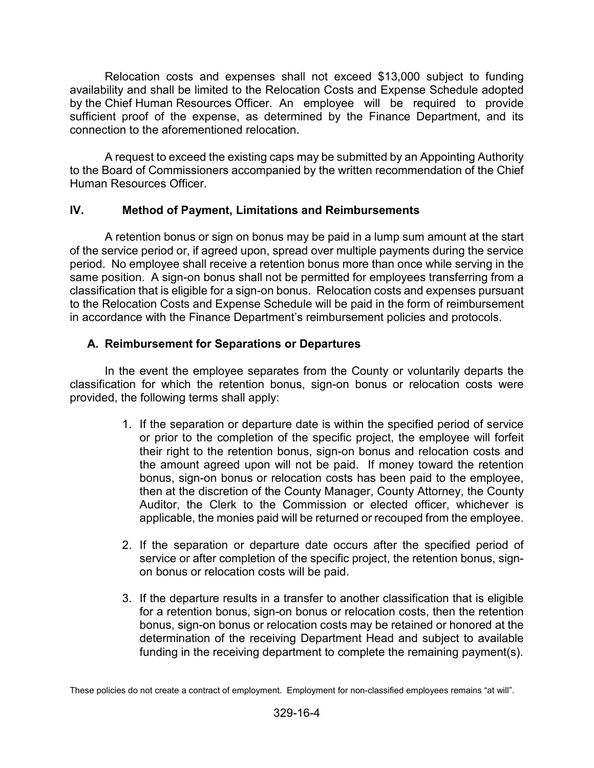Relocation costs and expenses shall not exceed \$13,000 subject to funding availability and shall be limited to the Relocation Costs and Expense Schedule adopted by the Chief Human Resources Officer. An employee will be required to provide sufficient proof of the expense, as determined by the Finance Department, and its connection to the aforementioned relocation.

A request to exceed the existing caps may be submitted by an Appointing Authority to the Board of Commissioners accompanied by the written recommendation of the Chief Human Resources Officer.

# **IV. Method of Payment, Limitations and Reimbursements**

A retention bonus or sign on bonus may be paid in a lump sum amount at the start of the service period or, if agreed upon, spread over multiple payments during the service period. No employee shall receive a retention bonus more than once while serving in the same position. A sign-on bonus shall not be permitted for employees transferring from a classification that is eligible for a sign-on bonus. Relocation costs and expenses pursuant to the Relocation Costs and Expense Schedule will be paid in the form of reimbursement in accordance with the Finance Department's reimbursement policies and protocols.

# **A. Reimbursement for Separations or Departures**

In the event the employee separates from the County or voluntarily departs the classification for which the retention bonus, sign-on bonus or relocation costs were provided, the following terms shall apply:

- 1. If the separation or departure date is within the specified period of service or prior to the completion of the specific project, the employee will forfeit their right to the retention bonus, sign-on bonus and relocation costs and the amount agreed upon will not be paid. If money toward the retention bonus, sign-on bonus or relocation costs has been paid to the employee, then at the discretion of the County Manager, County Attorney, the County Auditor, the Clerk to the Commission or elected officer, whichever is applicable, the monies paid will be returned or recouped from the employee.
- 2. If the separation or departure date occurs after the specified period of service or after completion of the specific project, the retention bonus, signon bonus or relocation costs will be paid.
- 3. If the departure results in a transfer to another classification that is eligible for a retention bonus, sign-on bonus or relocation costs, then the retention bonus, sign-on bonus or relocation costs may be retained or honored at the determination of the receiving Department Head and subject to available funding in the receiving department to complete the remaining payment(s).